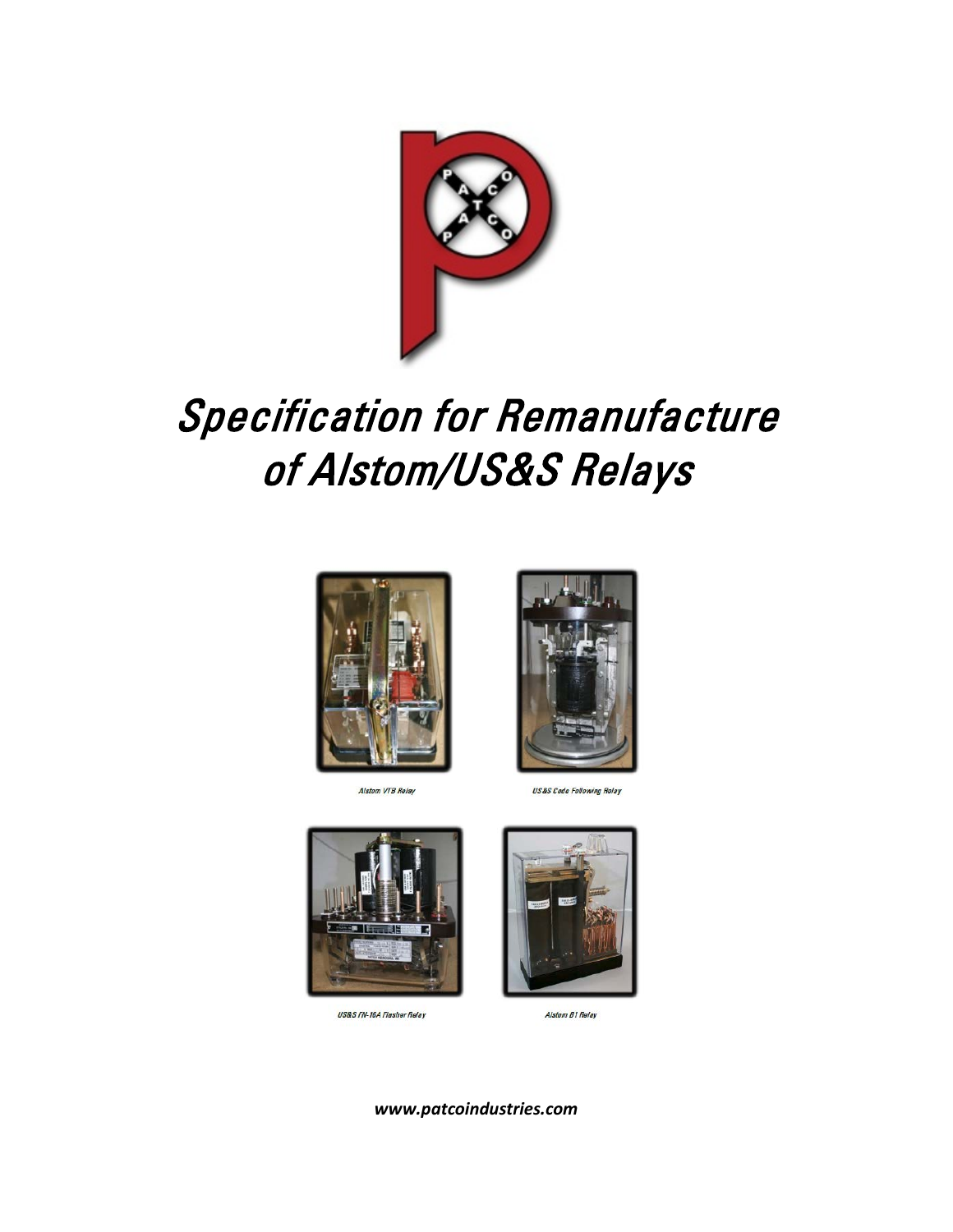

# Specification for Remanufacture of Alstom/US&S Relays



Alstom VTB Relay



**US&S Code Following Relay** 



US&S FN-16A Flasher Relay



Alstom B1 Relay

*www.patcoindustries.com*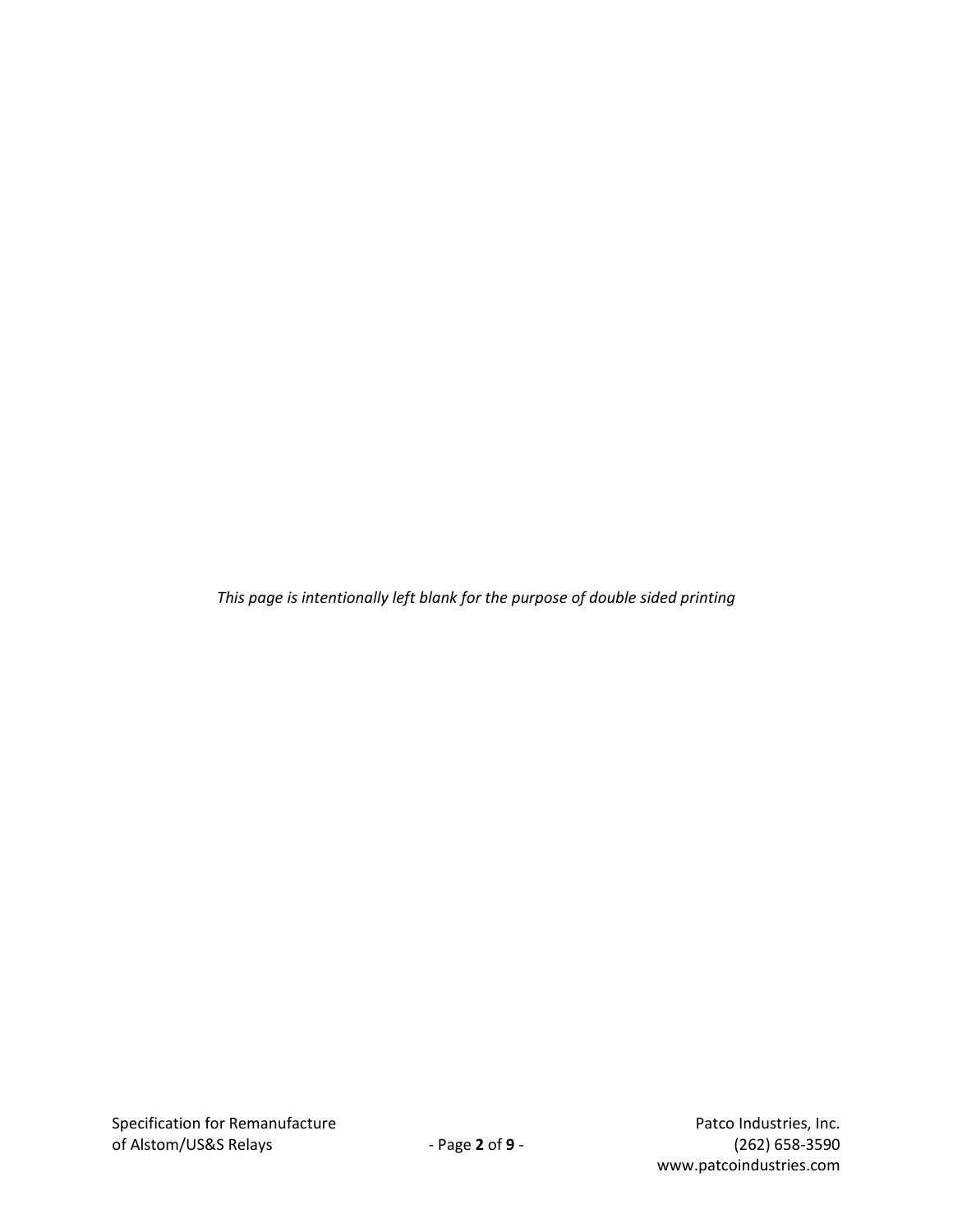*This page is intentionally left blank for the purpose of double sided printing*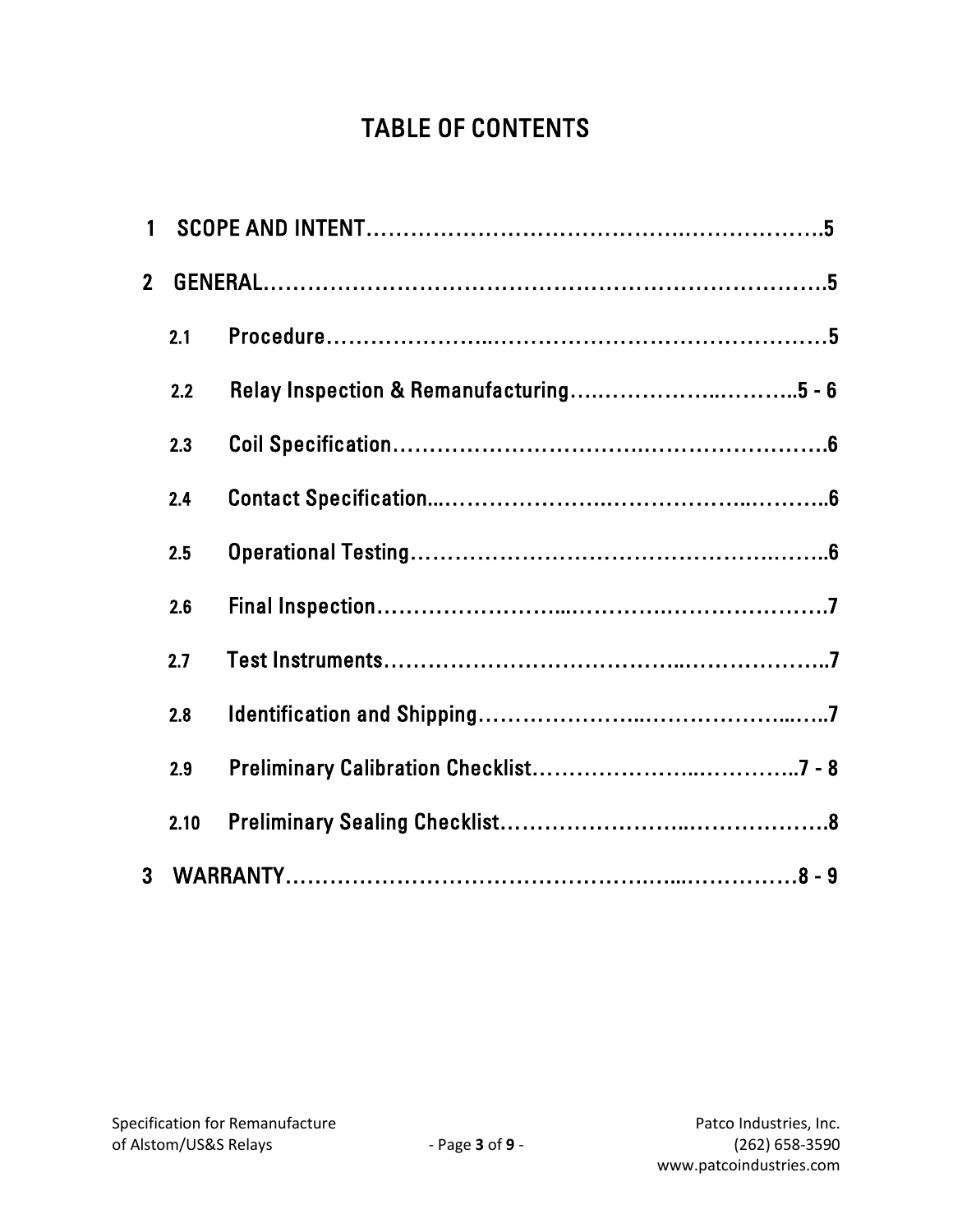# TABLE OF CONTENTS

| $\overline{2}$ |      |  |  |
|----------------|------|--|--|
|                | 2.1  |  |  |
|                | 2.2  |  |  |
|                | 2.3  |  |  |
|                | 2.4  |  |  |
|                | 2.5  |  |  |
|                | 2.6  |  |  |
|                | 2.7  |  |  |
|                | 2.8  |  |  |
|                | 2.9  |  |  |
|                | 2.10 |  |  |
| 3              |      |  |  |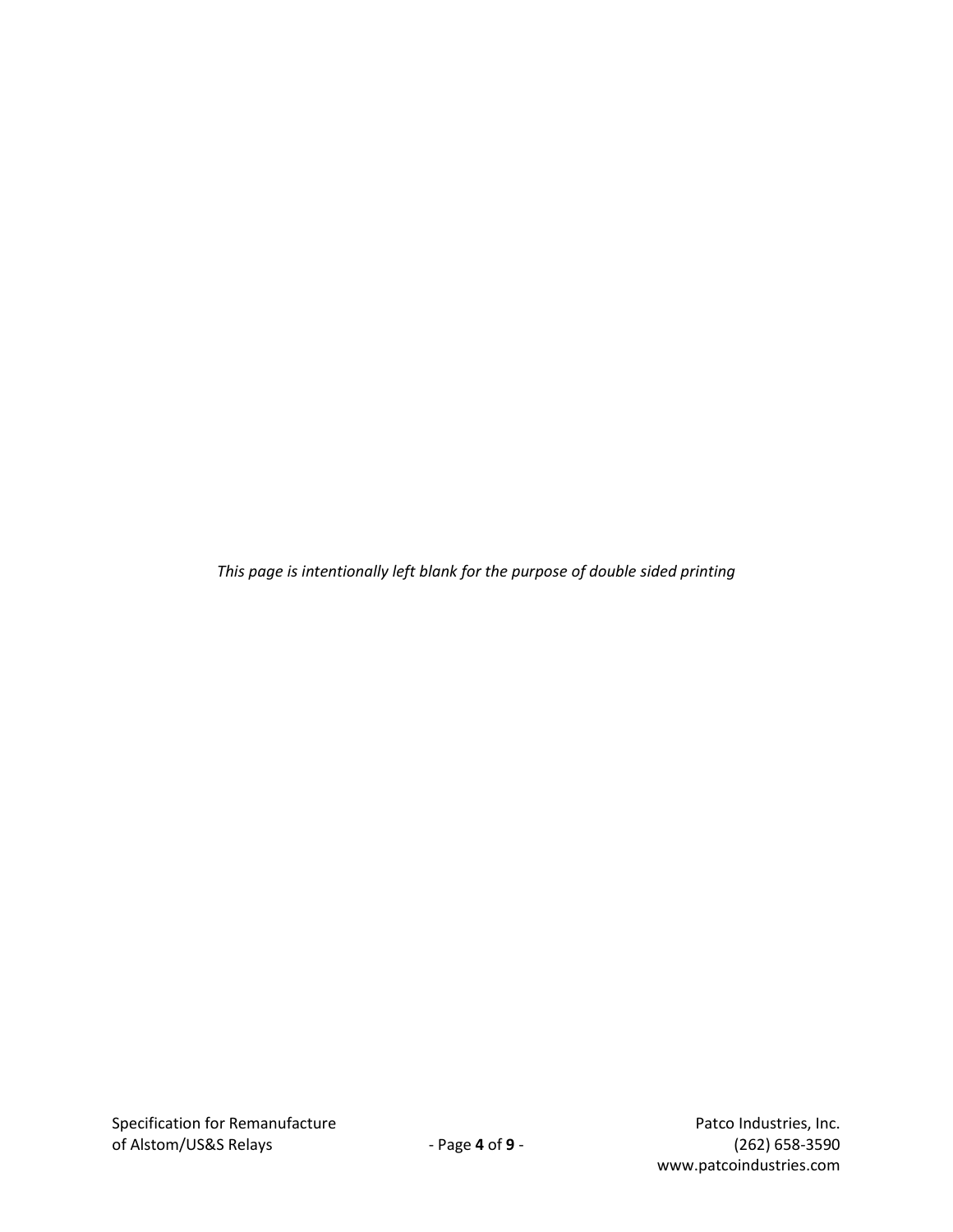*This page is intentionally left blank for the purpose of double sided printing*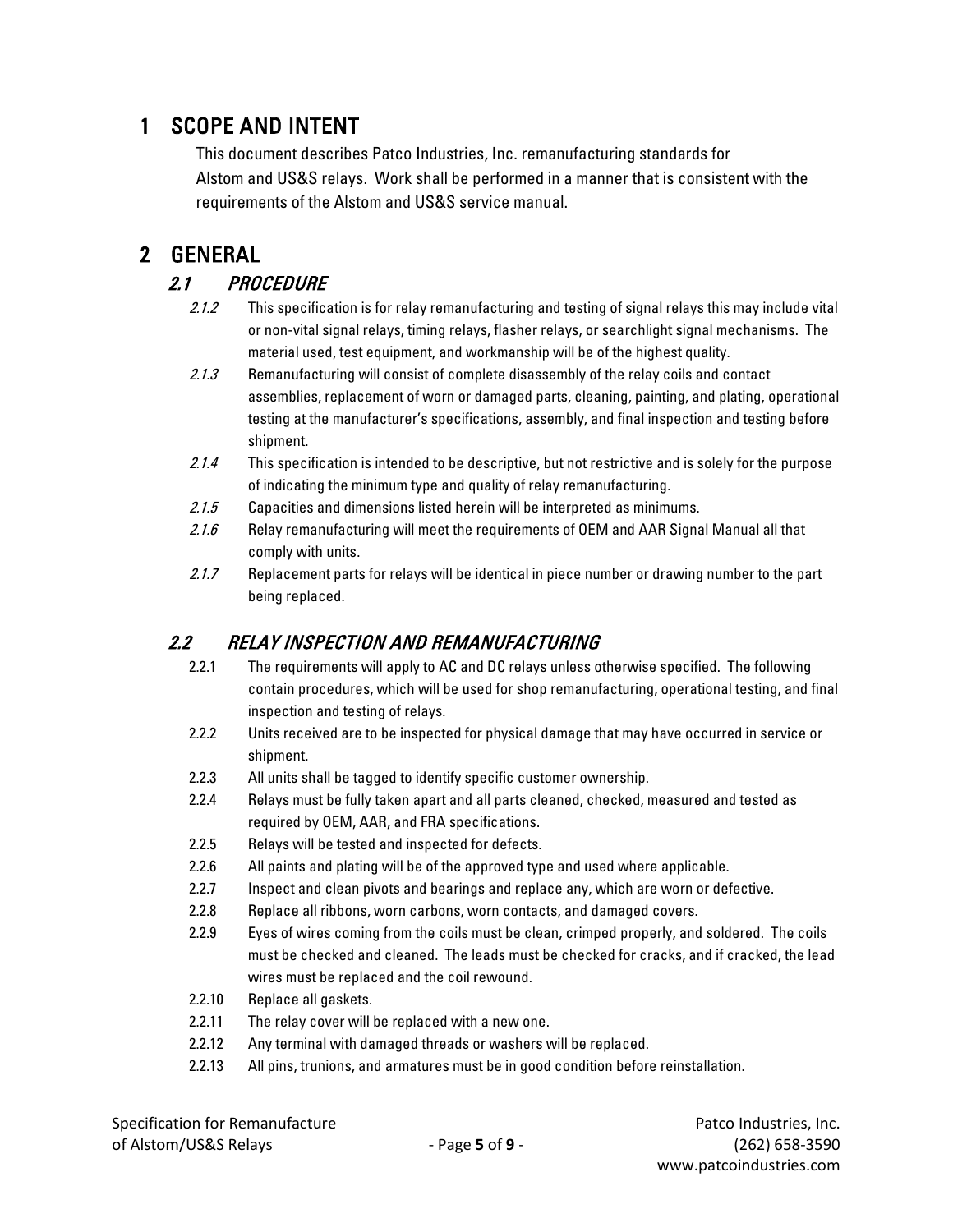## 1 SCOPE AND INTENT

This document describes Patco Industries, Inc. remanufacturing standards for Alstom and US&S relays. Work shall be performed in a manner that is consistent with the requirements of the Alstom and US&S service manual.

# 2 GENERAL

- 2.1 PROCEDURE<br>2.1.2 This specification is for relay remanufacturing and testing of signal relays this may include vital or non-vital signal relays, timing relays, flasher relays, or searchlight signal mechanisms. The material used, test equipment, and workmanship will be of the highest quality.
	- 2.1.3 Remanufacturing will consist of complete disassembly of the relay coils and contact assemblies, replacement of worn or damaged parts, cleaning, painting, and plating, operational testing at the manufacturer's specifications, assembly, and final inspection and testing before shipment.
	- 2.1.4 This specification is intended to be descriptive, but not restrictive and is solely for the purpose of indicating the minimum type and quality of relay remanufacturing.
	- 2.1.5 Capacities and dimensions listed herein will be interpreted as minimums.
	- 2.1.6 Relay remanufacturing will meet the requirements of OEM and AAR Signal Manual all that comply with units.
	- 2.1.7 Replacement parts for relays will be identical in piece number or drawing number to the part being replaced.

### 2.2 RELAY INSPECTION AND REMANUFACTURING

- 2.2.1 The requirements will apply to AC and DC relays unless otherwise specified. The following contain procedures, which will be used for shop remanufacturing, operational testing, and final inspection and testing of relays.
- 2.2.2 Units received are to be inspected for physical damage that may have occurred in service or shipment.
- 2.2.3 All units shall be tagged to identify specific customer ownership.
- 2.2.4 Relays must be fully taken apart and all parts cleaned, checked, measured and tested as required by OEM, AAR, and FRA specifications.
- 2.2.5 Relays will be tested and inspected for defects.
- 2.2.6 All paints and plating will be of the approved type and used where applicable.
- 2.2.7 Inspect and clean pivots and bearings and replace any, which are worn or defective.
- 2.2.8 Replace all ribbons, worn carbons, worn contacts, and damaged covers.
- 2.2.9 Eyes of wires coming from the coils must be clean, crimped properly, and soldered. The coils must be checked and cleaned. The leads must be checked for cracks, and if cracked, the lead wires must be replaced and the coil rewound.
- 2.2.10 Replace all gaskets.
- 2.2.11 The relay cover will be replaced with a new one.
- 2.2.12 Any terminal with damaged threads or washers will be replaced.
- 2.2.13 All pins, trunions, and armatures must be in good condition before reinstallation.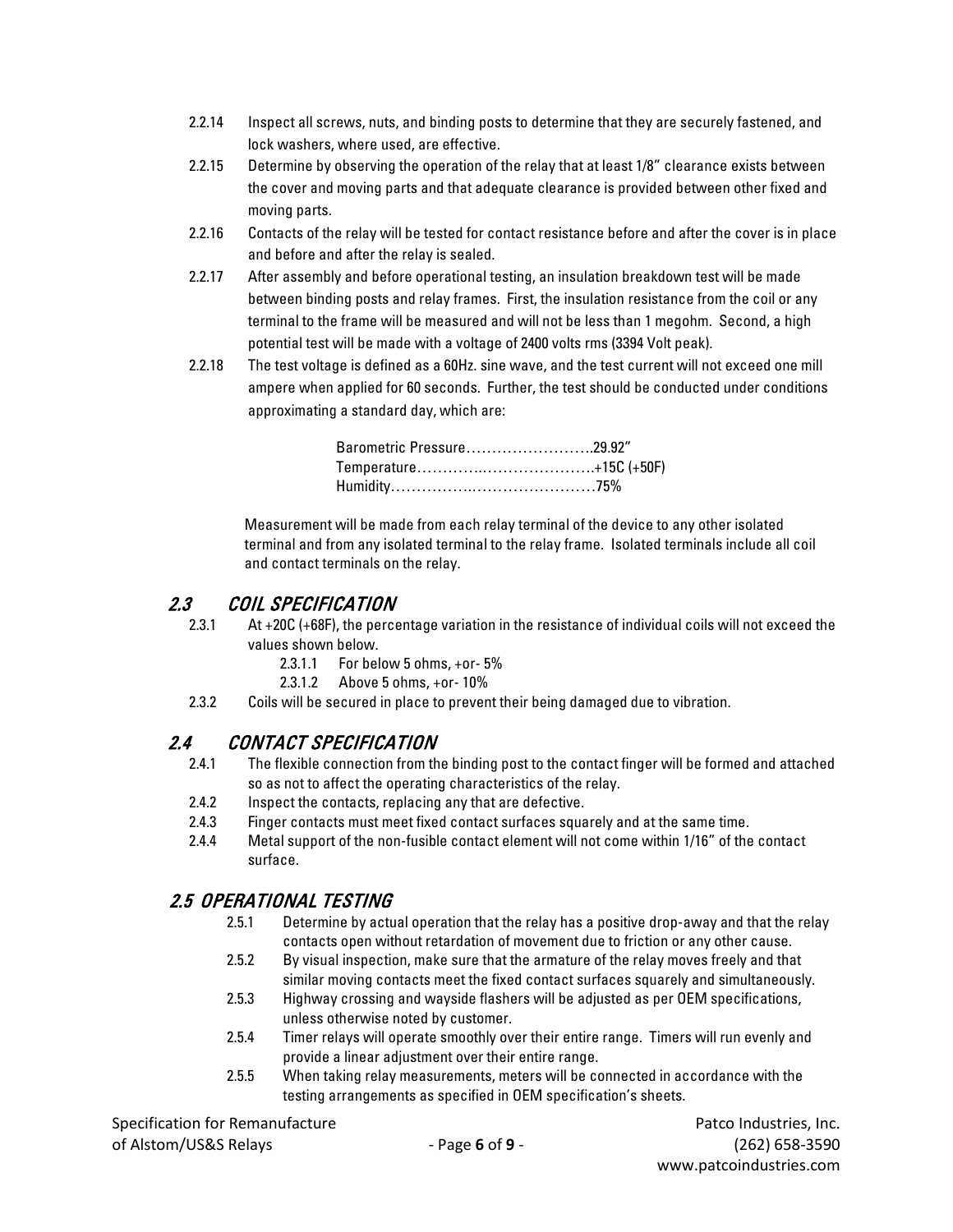- 2.2.14 Inspect all screws, nuts, and binding posts to determine that they are securely fastened, and lock washers, where used, are effective.
- 2.2.15 Determine by observing the operation of the relay that at least 1/8" clearance exists between the cover and moving parts and that adequate clearance is provided between other fixed and moving parts.
- 2.2.16 Contacts of the relay will be tested for contact resistance before and after the cover is in place and before and after the relay is sealed.
- 2.2.17 After assembly and before operational testing, an insulation breakdown test will be made between binding posts and relay frames. First, the insulation resistance from the coil or any terminal to the frame will be measured and will not be less than 1 megohm. Second, a high potential test will be made with a voltage of 2400 volts rms (3394 Volt peak).
- 2.2.18 The test voltage is defined as a 60Hz. sine wave, and the test current will not exceed one mill ampere when applied for 60 seconds. Further, the test should be conducted under conditions approximating a standard day, which are:

| Barometric Pressure29.92" |  |
|---------------------------|--|
|                           |  |
|                           |  |

Measurement will be made from each relay terminal of the device to any other isolated terminal and from any isolated terminal to the relay frame. Isolated terminals include all coil and contact terminals on the relay.

#### 2.3 COIL SPECIFICATION

- 2.3.1 At +20C (+68F), the percentage variation in the resistance of individual coils will not exceed the values shown below.
	- 2.3.1.1 For below 5 ohms, +or- 5%
	- 2.3.1.2 Above 5 ohms, +or- 10%
- 2.3.2 Coils will be secured in place to prevent their being damaged due to vibration.

#### 2.4 CONTACT SPECIFICATION

- 2.4.1 The flexible connection from the binding post to the contact finger will be formed and attached so as not to affect the operating characteristics of the relay.
- 2.4.2 Inspect the contacts, replacing any that are defective.
- 2.4.3 Finger contacts must meet fixed contact surfaces squarely and at the same time.
- 2.4.4 Metal support of the non-fusible contact element will not come within 1/16" of the contact surface.

#### 2.5 OPERATIONAL TESTING

- 2.5.1 Determine by actual operation that the relay has a positive drop-away and that the relay contacts open without retardation of movement due to friction or any other cause.
- 2.5.2 By visual inspection, make sure that the armature of the relay moves freely and that similar moving contacts meet the fixed contact surfaces squarely and simultaneously.
- 2.5.3 Highway crossing and wayside flashers will be adjusted as per OEM specifications, unless otherwise noted by customer.
- 2.5.4 Timer relays will operate smoothly over their entire range. Timers will run evenly and provide a linear adjustment over their entire range.
- 2.5.5 When taking relay measurements, meters will be connected in accordance with the testing arrangements as specified in OEM specification's sheets.

www.patcoindustries.com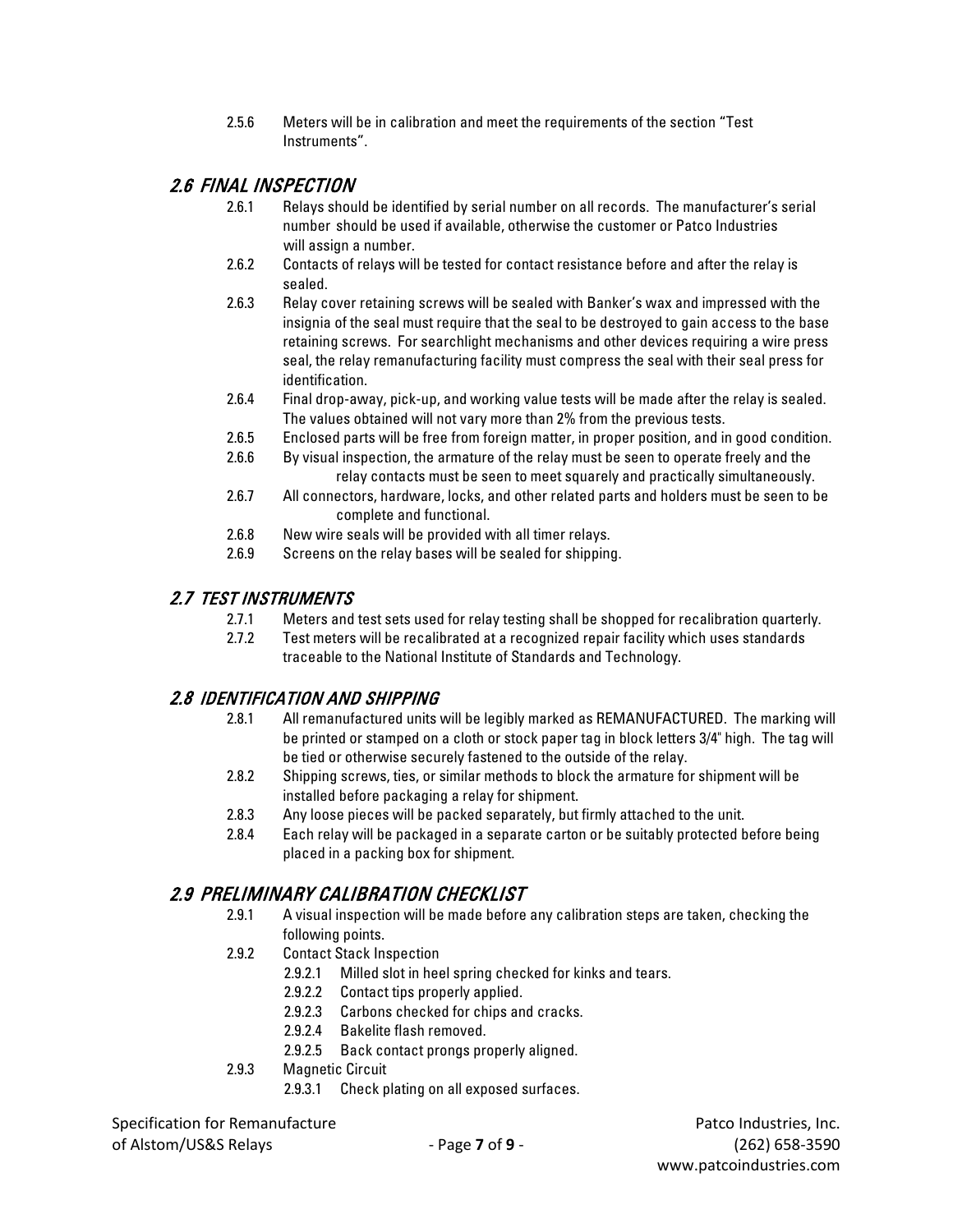2.5.6 Meters will be in calibration and meet the requirements of the section "Test Instruments".

#### 2.6 FINAL INSPECTION

- 2.6.1 Relays should be identified by serial number on all records. The manufacturer's serial number should be used if available, otherwise the customer or Patco Industries will assign a number.
- 2.6.2 Contacts of relays will be tested for contact resistance before and after the relay is sealed.
- 2.6.3 Relay cover retaining screws will be sealed with Banker's wax and impressed with the insignia of the seal must require that the seal to be destroyed to gain access to the base retaining screws. For searchlight mechanisms and other devices requiring a wire press seal, the relay remanufacturing facility must compress the seal with their seal press for identification.
- 2.6.4 Final drop-away, pick-up, and working value tests will be made after the relay is sealed. The values obtained will not vary more than 2% from the previous tests.
- 2.6.5 Enclosed parts will be free from foreign matter, in proper position, and in good condition.
- 2.6.6 By visual inspection, the armature of the relay must be seen to operate freely and the relay contacts must be seen to meet squarely and practically simultaneously.
- 2.6.7 All connectors, hardware, locks, and other related parts and holders must be seen to be complete and functional.
- 2.6.8 New wire seals will be provided with all timer relays.
- 2.6.9 Screens on the relay bases will be sealed for shipping.

#### 2.7 TEST INSTRUMENTS

- 2.7.1 Meters and test sets used for relay testing shall be shopped for recalibration quarterly.
- 2.7.2 Test meters will be recalibrated at a recognized repair facility which uses standards traceable to the National Institute of Standards and Technology.

#### 2.8 IDENTIFICATION AND SHIPPING

- 2.8.1 All remanufactured units will be legibly marked as REMANUFACTURED. The marking will be printed or stamped on a cloth or stock paper tag in block letters 3/4" high. The tag will be tied or otherwise securely fastened to the outside of the relay.
- 2.8.2 Shipping screws, ties, or similar methods to block the armature for shipment will be installed before packaging a relay for shipment.
- 2.8.3 Any loose pieces will be packed separately, but firmly attached to the unit.
- 2.8.4 Each relay will be packaged in a separate carton or be suitably protected before being placed in a packing box for shipment.

#### 2.9 PRELIMINARY CALIBRATION CHECKLIST

- 2.9.1 A visual inspection will be made before any calibration steps are taken, checking the following points.
- 2.9.2 Contact Stack Inspection
	- 2.9.2.1 Milled slot in heel spring checked for kinks and tears.
	- 2.9.2.2 Contact tips properly applied.
	- 2.9.2.3 Carbons checked for chips and cracks.
	- 2.9.2.4 Bakelite flash removed.
	- 2.9.2.5 Back contact prongs properly aligned.
- 2.9.3 Magnetic Circuit
	- 2.9.3.1 Check plating on all exposed surfaces.

Specification for Remanufacture **Patco Industries, Inc.** Patco Industries, Inc.

of Alstom/US&S Relays - Page **7** of **9** - (262) 658-3590 www.patcoindustries.com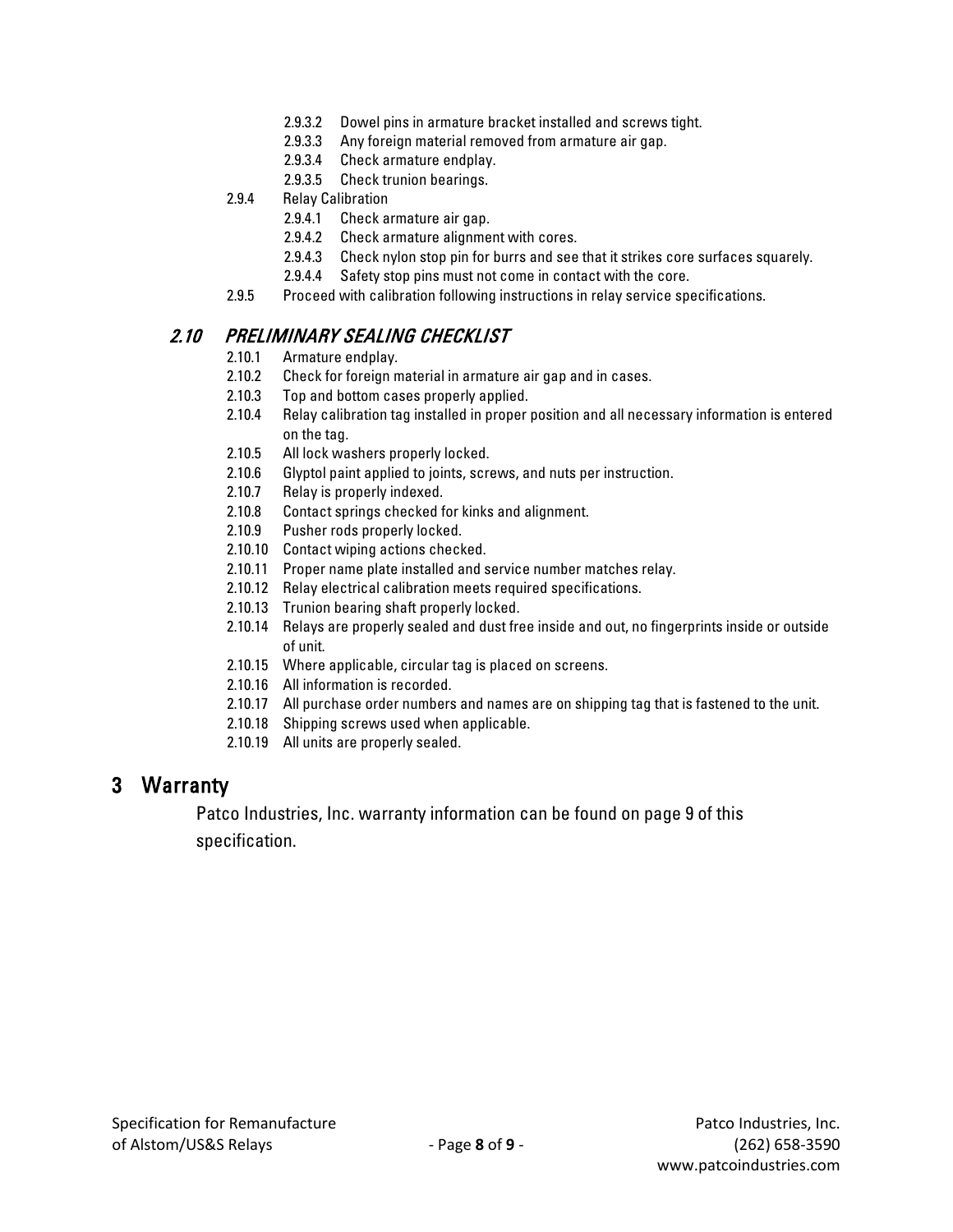- 2.9.3.2 Dowel pins in armature bracket installed and screws tight.
- 2.9.3.3 Any foreign material removed from armature air gap.
- 2.9.3.4 Check armature endplay.
- 2.9.3.5 Check trunion bearings.
- 2.9.4 Relay Calibration
	- 2.9.4.1 Check armature air gap.
	- 2.9.4.2 Check armature alignment with cores.
	- 2.9.4.3 Check nylon stop pin for burrs and see that it strikes core surfaces squarely.
	- 2.9.4.4 Safety stop pins must not come in contact with the core.
- 2.9.5 Proceed with calibration following instructions in relay service specifications.

#### 2.10 PRELIMINARY SEALING CHECKLIST

- 2.10.1 Armature endplay.
- 2.10.2 Check for foreign material in armature air gap and in cases.
- 2.10.3 Top and bottom cases properly applied.
- 2.10.4 Relay calibration tag installed in proper position and all necessary information is entered on the tag.
- 2.10.5 All lock washers properly locked.
- 2.10.6 Glyptol paint applied to joints, screws, and nuts per instruction.
- 2.10.7 Relay is properly indexed.
- 2.10.8 Contact springs checked for kinks and alignment.
- 2.10.9 Pusher rods properly locked.
- 2.10.10 Contact wiping actions checked.
- 2.10.11 Proper name plate installed and service number matches relay.
- 2.10.12 Relay electrical calibration meets required specifications.
- 2.10.13 Trunion bearing shaft properly locked.
- 2.10.14 Relays are properly sealed and dust free inside and out, no fingerprints inside or outside of unit.
- 2.10.15 Where applicable, circular tag is placed on screens.
- 2.10.16 All information is recorded.
- 2.10.17 All purchase order numbers and names are on shipping tag that is fastened to the unit.
- 2.10.18 Shipping screws used when applicable.
- 2.10.19 All units are properly sealed.

#### 3 Warranty

Patco Industries, Inc. warranty information can be found on page 9 of this specification.